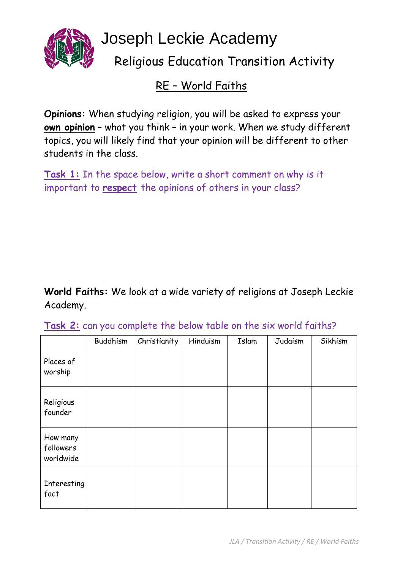

## RE – World Faiths

**Opinions:** When studying religion, you will be asked to express your **own opinion** – what you think – in your work. When we study different topics, you will likely find that your opinion will be different to other students in the class.

**Task 1:** In the space below, write a short comment on why is it important to **respect** the opinions of others in your class?

**World Faiths:** We look at a wide variety of religions at Joseph Leckie Academy.

|                                    | Buddhism | Christianity | Hinduism | Islam | Judaism | Sikhism |
|------------------------------------|----------|--------------|----------|-------|---------|---------|
| Places of<br>worship               |          |              |          |       |         |         |
| Religious<br>founder               |          |              |          |       |         |         |
| How many<br>followers<br>worldwide |          |              |          |       |         |         |
| Interesting<br>fact                |          |              |          |       |         |         |

**Task 2:** can you complete the below table on the six world faiths?